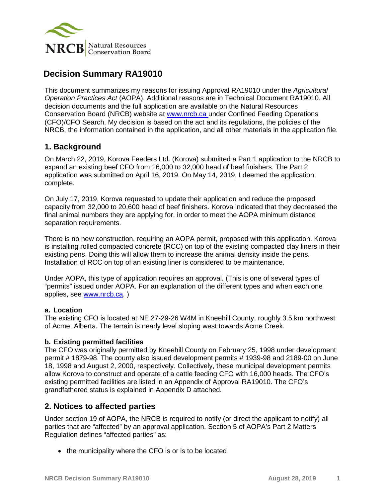

# **Decision Summary RA19010**

This document summarizes my reasons for issuing Approval RA19010 under the *Agricultural Operation Practices Act* (AOPA). Additional reasons are in Technical Document RA19010. All decision documents and the full application are available on the Natural Resources Conservation Board (NRCB) website at [www.nrcb.ca](http://www.nrcb.ca/) under Confined Feeding Operations (CFO)/CFO Search. My decision is based on the act and its regulations, the policies of the NRCB, the information contained in the application, and all other materials in the application file.

# **1. Background**

On March 22, 2019, Korova Feeders Ltd. (Korova) submitted a Part 1 application to the NRCB to expand an existing beef CFO from 16,000 to 32,000 head of beef finishers. The Part 2 application was submitted on April 16, 2019. On May 14, 2019, I deemed the application complete.

On July 17, 2019, Korova requested to update their application and reduce the proposed capacity from 32,000 to 20,600 head of beef finishers. Korova indicated that they decreased the final animal numbers they are applying for, in order to meet the AOPA minimum distance separation requirements.

There is no new construction, requiring an AOPA permit, proposed with this application. Korova is installing rolled compacted concrete (RCC) on top of the existing compacted clay liners in their existing pens. Doing this will allow them to increase the animal density inside the pens. Installation of RCC on top of an existing liner is considered to be maintenance.

Under AOPA, this type of application requires an approval. (This is one of several types of "permits" issued under AOPA. For an explanation of the different types and when each one applies, see [www.nrcb.ca.](http://www.nrcb.ca/) )

## **a. Location**

The existing CFO is located at NE 27-29-26 W4M in Kneehill County, roughly 3.5 km northwest of Acme, Alberta. The terrain is nearly level sloping west towards Acme Creek.

## **b. Existing permitted facilities**

The CFO was originally permitted by Kneehill County on February 25, 1998 under development permit # 1879-98. The county also issued development permits # 1939-98 and 2189-00 on June 18, 1998 and August 2, 2000, respectively. Collectively, these municipal development permits allow Korova to construct and operate of a cattle feeding CFO with 16,000 heads. The CFO's existing permitted facilities are listed in an Appendix of Approval RA19010. The CFO's grandfathered status is explained in Appendix D attached.

## **2. Notices to affected parties**

Under section 19 of AOPA, the NRCB is required to notify (or direct the applicant to notify) all parties that are "affected" by an approval application. Section 5 of AOPA's Part 2 Matters Regulation defines "affected parties" as:

• the municipality where the CFO is or is to be located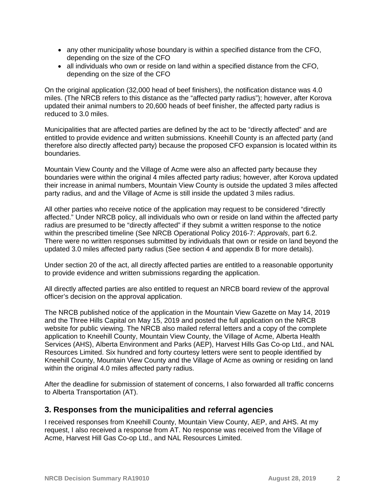- any other municipality whose boundary is within a specified distance from the CFO, depending on the size of the CFO
- all individuals who own or reside on land within a specified distance from the CFO, depending on the size of the CFO

On the original application (32,000 head of beef finishers), the notification distance was 4.0 miles. (The NRCB refers to this distance as the "affected party radius"); however, after Korova updated their animal numbers to 20,600 heads of beef finisher, the affected party radius is reduced to 3.0 miles.

Municipalities that are affected parties are defined by the act to be "directly affected" and are entitled to provide evidence and written submissions. Kneehill County is an affected party (and therefore also directly affected party) because the proposed CFO expansion is located within its boundaries.

Mountain View County and the Village of Acme were also an affected party because they boundaries were within the original 4 miles affected party radius; however, after Korova updated their increase in animal numbers, Mountain View County is outside the updated 3 miles affected party radius, and and the Village of Acme is still inside the updated 3 miles radius.

All other parties who receive notice of the application may request to be considered "directly affected." Under NRCB policy, all individuals who own or reside on land within the affected party radius are presumed to be "directly affected" if they submit a written response to the notice within the prescribed timeline (See NRCB Operational Policy 2016-7: *Approvals*, part 6.2. There were no written responses submitted by individuals that own or reside on land beyond the updated 3.0 miles affected party radius (See section 4 and appendix B for more details).

Under section 20 of the act, all directly affected parties are entitled to a reasonable opportunity to provide evidence and written submissions regarding the application.

All directly affected parties are also entitled to request an NRCB board review of the approval officer's decision on the approval application.

The NRCB published notice of the application in the Mountain View Gazette on May 14, 2019 and the Three Hills Capital on May 15, 2019 and posted the full application on the NRCB website for public viewing. The NRCB also mailed referral letters and a copy of the complete application to Kneehill County, Mountain View County, the Village of Acme, Alberta Health Services (AHS), Alberta Environment and Parks (AEP), Harvest Hills Gas Co-op Ltd., and NAL Resources Limited. Six hundred and forty courtesy letters were sent to people identified by Kneehill County, Mountain View County and the Village of Acme as owning or residing on land within the original 4.0 miles affected party radius.

After the deadline for submission of statement of concerns, I also forwarded all traffic concerns to Alberta Transportation (AT).

## **3. Responses from the municipalities and referral agencies**

I received responses from Kneehill County, Mountain View County, AEP, and AHS. At my request, I also received a response from AT. No response was received from the Village of Acme, Harvest Hill Gas Co-op Ltd., and NAL Resources Limited.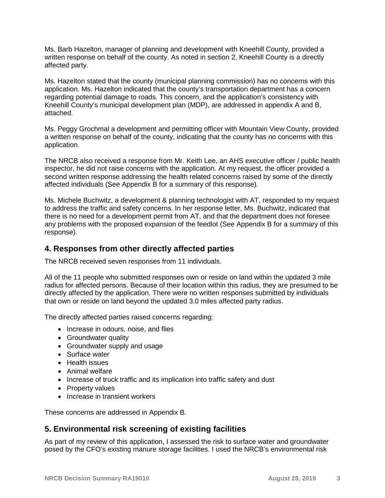Ms. Barb Hazelton, manager of planning and development with Kneehill County, provided a written response on behalf of the county. As noted in section 2, Kneehill County is a directly affected party.

Ms. Hazelton stated that the county (municipal planning commission) has no concerns with this application. Ms. Hazelton indicated that the county's transportation department has a concern regarding potential damage to roads. This concern, and the application's consistency with Kneehill County's municipal development plan (MDP), are addressed in appendix A and B, attached.

Ms. Peggy Grochmal a development and permitting officer with Mountain View County, provided a written response on behalf of the county, indicating that the county has no concerns with this application.

The NRCB also received a response from Mr. Keith Lee, an AHS executive officer / public health inspector, he did not raise concerns with the application. At my request, the officer provided a second written response addressing the health related concerns raised by some of the directly affected individuals (See Appendix B for a summary of this response).

Ms. Michele Buchwitz, a development & planning technologist with AT, responded to my request to address the traffic and safety concerns. In her response letter, Ms. Buchwitz, indicated that there is no need for a development permit from AT, and that the department does not foresee any problems with the proposed expansion of the feedlot (See Appendix B for a summary of this response).

## **4. Responses from other directly affected parties**

The NRCB received seven responses from 11 individuals.

All of the 11 people who submitted responses own or reside on land within the updated 3 mile radius for affected persons. Because of their location within this radius, they are presumed to be directly affected by the application. There were no written responses submitted by individuals that own or reside on land beyond the updated 3.0 miles affected party radius.

The directly affected parties raised concerns regarding:

- Increase in odours, noise, and flies
- Groundwater quality
- Groundwater supply and usage
- Surface water
- Health issues
- Animal welfare
- Increase of truck traffic and its implication into traffic safety and dust
- Property values
- Increase in transient workers

These concerns are addressed in Appendix B.

## **5. Environmental risk screening of existing facilities**

As part of my review of this application, I assessed the risk to surface water and groundwater posed by the CFO's existing manure storage facilities. I used the NRCB's environmental risk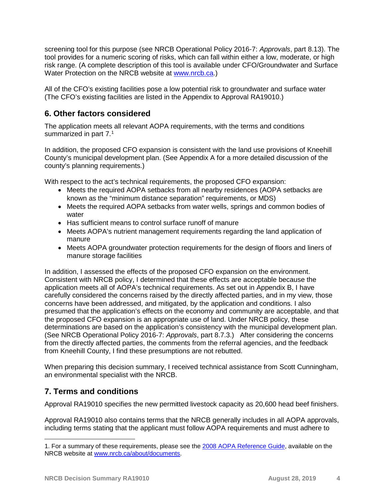screening tool for this purpose (see NRCB Operational Policy 2016-7: *Approvals*, part 8.13). The tool provides for a numeric scoring of risks, which can fall within either a low, moderate, or high risk range. (A complete description of this tool is available under CFO/Groundwater and Surface Water Protection on the NRCB website at [www.nrcb.ca.](http://www.nrcb.ca/))

All of the CFO's existing facilities pose a low potential risk to groundwater and surface water (The CFO's existing facilities are listed in the Appendix to Approval RA19010.)

# **6. Other factors considered**

The application meets all relevant AOPA requirements, with the terms and conditions summarized in part 7. $^{\text{1}}$  $^{\text{1}}$  $^{\text{1}}$ 

In addition, the proposed CFO expansion is consistent with the land use provisions of Kneehill County's municipal development plan. (See Appendix A for a more detailed discussion of the county's planning requirements.)

With respect to the act's technical requirements, the proposed CFO expansion:

- Meets the required AOPA setbacks from all nearby residences (AOPA setbacks are known as the "minimum distance separation" requirements, or MDS)
- Meets the required AOPA setbacks from water wells, springs and common bodies of water
- Has sufficient means to control surface runoff of manure
- Meets AOPA's nutrient management requirements regarding the land application of manure
- Meets AOPA groundwater protection requirements for the design of floors and liners of manure storage facilities

In addition, I assessed the effects of the proposed CFO expansion on the environment. Consistent with NRCB policy, I determined that these effects are acceptable because the application meets all of AOPA's technical requirements. As set out in Appendix B, I have carefully considered the concerns raised by the directly affected parties, and in my view, those concerns have been addressed, and mitigated, by the application and conditions. I also presumed that the application's effects on the economy and community are acceptable, and that the proposed CFO expansion is an appropriate use of land. Under NRCB policy, these determinations are based on the application's consistency with the municipal development plan. (See NRCB Operational Policy 2016-7: *Approvals*, part 8.7.3.) After considering the concerns from the directly affected parties, the comments from the referral agencies, and the feedback from Kneehill County, I find these presumptions are not rebutted.

When preparing this decision summary, I received technical assistance from Scott Cunningham, an environmental specialist with the NRCB.

# **7. Terms and conditions**

Approval RA19010 specifies the new permitted livestock capacity as 20,600 head beef finishers.

Approval RA19010 also contains terms that the NRCB generally includes in all AOPA approvals, including terms stating that the applicant must follow AOPA requirements and must adhere to

<span id="page-3-0"></span>1. For a summary of these requirements, please see the [2008 AOPA Reference Guide,](http://www1.agric.gov.ab.ca/$department/deptdocs.nsf/all/epw5592) available on the NRCB website at [www.nrcb.ca/about/documents.](http://www.nrcb.ca/about/documents)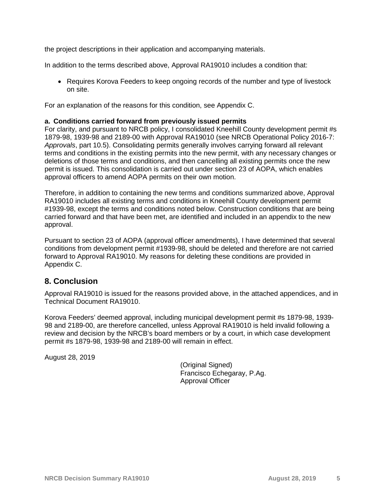the project descriptions in their application and accompanying materials.

In addition to the terms described above, Approval RA19010 includes a condition that:

• Requires Korova Feeders to keep ongoing records of the number and type of livestock on site.

For an explanation of the reasons for this condition, see Appendix C.

### **a. Conditions carried forward from previously issued permits**

For clarity, and pursuant to NRCB policy, I consolidated Kneehill County development permit #s 1879-98, 1939-98 and 2189-00 with Approval RA19010 (see NRCB Operational Policy 2016-7: *Approvals*, part 10.5). Consolidating permits generally involves carrying forward all relevant terms and conditions in the existing permits into the new permit, with any necessary changes or deletions of those terms and conditions, and then cancelling all existing permits once the new permit is issued. This consolidation is carried out under section 23 of AOPA, which enables approval officers to amend AOPA permits on their own motion.

Therefore, in addition to containing the new terms and conditions summarized above, Approval RA19010 includes all existing terms and conditions in Kneehill County development permit #1939-98, except the terms and conditions noted below. Construction conditions that are being carried forward and that have been met, are identified and included in an appendix to the new approval.

Pursuant to section 23 of AOPA (approval officer amendments), I have determined that several conditions from development permit #1939-98, should be deleted and therefore are not carried forward to Approval RA19010. My reasons for deleting these conditions are provided in Appendix C.

## **8. Conclusion**

Approval RA19010 is issued for the reasons provided above, in the attached appendices, and in Technical Document RA19010.

Korova Feeders' deemed approval, including municipal development permit #s 1879-98, 1939- 98 and 2189-00, are therefore cancelled, unless Approval RA19010 is held invalid following a review and decision by the NRCB's board members or by a court, in which case development permit #s 1879-98, 1939-98 and 2189-00 will remain in effect.

August 28, 2019

(Original Signed) Francisco Echegaray, P.Ag. Approval Officer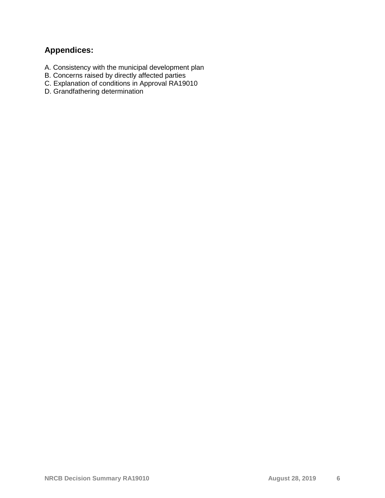# **Appendices:**

- A. Consistency with the municipal development plan
- B. Concerns raised by directly affected parties
- C. Explanation of conditions in Approval RA19010
- D. Grandfathering determination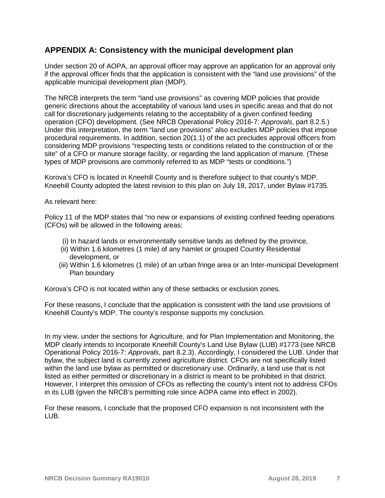# **APPENDIX A: Consistency with the municipal development plan**

Under section 20 of AOPA, an approval officer may approve an application for an approval only if the approval officer finds that the application is consistent with the "land use provisions" of the applicable municipal development plan (MDP).

The NRCB interprets the term "land use provisions" as covering MDP policies that provide generic directions about the acceptability of various land uses in specific areas and that do not call for discretionary judgements relating to the acceptability of a given confined feeding operation (CFO) development. (See NRCB Operational Policy 2016-7: *Approvals*, part 8.2.5.) Under this interpretation, the term "land use provisions" also excludes MDP policies that impose procedural requirements. In addition, section 20(1.1) of the act precludes approval officers from considering MDP provisions "respecting tests or conditions related to the construction of or the site" of a CFO or manure storage facility, or regarding the land application of manure. (These types of MDP provisions are commonly referred to as MDP "tests or conditions.")

Korova's CFO is located in Kneehill County and is therefore subject to that county's MDP. Kneehill County adopted the latest revision to this plan on July 18, 2017, under Bylaw #1735.

As relevant here:

Policy 11 of the MDP states that "no new or expansions of existing confined feeding operations (CFOs) will be allowed in the following areas:

- (i) In hazard lands or environmentally sensitive lands as defined by the province,
- (ii) Within 1.6 kilometres (1 mile) of any hamlet or grouped Country Residential development, or
- (iii) Within 1.6 kilometres (1 mile) of an urban fringe area or an Inter-municipal Development Plan boundary

Korova's CFO is not located within any of these setbacks or exclusion zones.

For these reasons, I conclude that the application is consistent with the land use provisions of Kneehill County's MDP. The county's response supports my conclusion.

In my view, under the sections for Agriculture, and for Plan Implementation and Monitoring, the MDP clearly intends to incorporate Kneehill County's Land Use Bylaw (LUB) #1773 (see NRCB Operational Policy 2016-7: *Approvals*, part 8.2.3). Accordingly, I considered the LUB. Under that bylaw, the subject land is currently zoned agriculture district. CFOs are not specifically listed within the land use bylaw as permitted or discretionary use. Ordinarily, a land use that is not listed as either permitted or discretionary in a district is meant to be prohibited in that district. However, I interpret this omission of CFOs as reflecting the county's intent not to address CFOs in its LUB (given the NRCB's permitting role since AOPA came into effect in 2002).

For these reasons, I conclude that the proposed CFO expansion is not inconsistent with the LUB.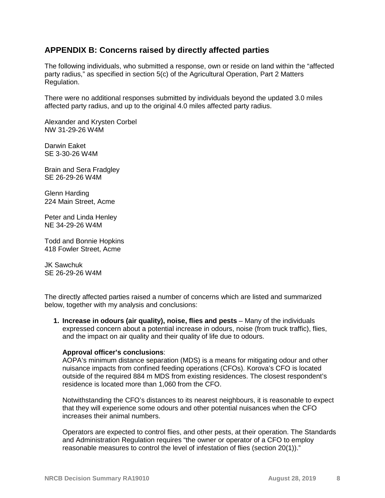# **APPENDIX B: Concerns raised by directly affected parties**

The following individuals, who submitted a response, own or reside on land within the "affected party radius," as specified in section 5(c) of the Agricultural Operation, Part 2 Matters Regulation.

There were no additional responses submitted by individuals beyond the updated 3.0 miles affected party radius, and up to the original 4.0 miles affected party radius.

Alexander and Krysten Corbel NW 31-29-26 W4M

Darwin Eaket SE 3-30-26 W4M

Brain and Sera Fradgley SE 26-29-26 W4M

Glenn Harding 224 Main Street, Acme

Peter and Linda Henley NE 34-29-26 W4M

Todd and Bonnie Hopkins 418 Fowler Street, Acme

JK Sawchuk SE 26-29-26 W4M

The directly affected parties raised a number of concerns which are listed and summarized below, together with my analysis and conclusions:

**1. Increase in odours (air quality), noise, flies and pests** – Many of the individuals expressed concern about a potential increase in odours, noise (from truck traffic), flies, and the impact on air quality and their quality of life due to odours.

#### **Approval officer's conclusions**:

AOPA's minimum distance separation (MDS) is a means for mitigating odour and other nuisance impacts from confined feeding operations (CFOs). Korova's CFO is located outside of the required 884 m MDS from existing residences. The closest respondent's residence is located more than 1,060 from the CFO.

Notwithstanding the CFO's distances to its nearest neighbours, it is reasonable to expect that they will experience some odours and other potential nuisances when the CFO increases their animal numbers.

Operators are expected to control flies, and other pests, at their operation. The Standards and Administration Regulation requires "the owner or operator of a CFO to employ reasonable measures to control the level of infestation of flies (section 20(1))."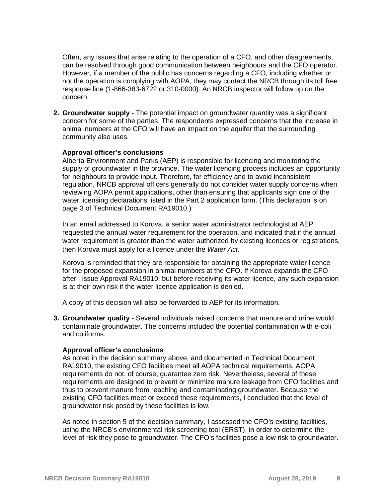Often, any issues that arise relating to the operation of a CFO, and other disagreements, can be resolved through good communication between neighbours and the CFO operator. However, if a member of the public has concerns regarding a CFO, including whether or not the operation is complying with AOPA, they may contact the NRCB through its toll free response line (1-866-383-6722 or 310-0000). An NRCB inspector will follow up on the concern.

**2. Groundwater supply -** The potential impact on groundwater quantity was a significant concern for some of the parties. The respondents expressed concerns that the increase in animal numbers at the CFO will have an impact on the aquifer that the surrounding community also uses.

### **Approval officer's conclusions**

Alberta Environment and Parks (AEP) is responsible for licencing and monitoring the supply of groundwater in the province. The water licencing process includes an opportunity for neighbours to provide input. Therefore, for efficiency and to avoid inconsistent regulation, NRCB approval officers generally do not consider water supply concerns when reviewing AOPA permit applications, other than ensuring that applicants sign one of the water licensing declarations listed in the Part 2 application form. (This declaration is on page 3 of Technical Document RA19010.)

In an email addressed to Korova, a senior water administrator technologist at AEP requested the annual water requirement for the operation, and indicated that if the annual water requirement is greater than the water authorized by existing licences or registrations, then Korova must apply for a licence under the *Water Act.*

Korova is reminded that they are responsible for obtaining the appropriate water licence for the proposed expansion in animal numbers at the CFO. If Korova expands the CFO after I issue Approval RA19010, but before receiving its water licence, any such expansion is at their own risk if the water licence application is denied.

A copy of this decision will also be forwarded to AEP for its information.

**3. Groundwater quality -** Several individuals raised concerns that manure and urine would contaminate groundwater. The concerns included the potential contamination with e-coli and coliforms.

#### **Approval officer's conclusions**

As noted in the decision summary above, and documented in Technical Document RA19010, the existing CFO facilities meet all AOPA technical requirements. AOPA requirements do not, of course, guarantee zero risk. Nevertheless, several of these requirements are designed to prevent or minimize manure leakage from CFO facilities and thus to prevent manure from reaching and contaminating groundwater. Because the existing CFO facilities meet or exceed these requirements, I concluded that the level of groundwater risk posed by these facilities is low.

As noted in section 5 of the decision summary, I assessed the CFO's existing facilities, using the NRCB's environmental risk screening tool (ERST), in order to determine the level of risk they pose to groundwater. The CFO's facilities pose a low risk to groundwater.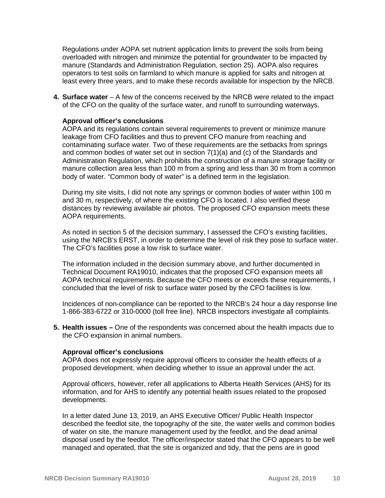Regulations under AOPA set nutrient application limits to prevent the soils from being overloaded with nitrogen and minimize the potential for groundwater to be impacted by manure (Standards and Administration Regulation, section 25). AOPA also requires operators to test soils on farmland to which manure is applied for salts and nitrogen at least every three years, and to make these records available for inspection by the NRCB.

**4. Surface water** – A few of the concerns received by the NRCB were related to the impact of the CFO on the quality of the surface water, and runoff to surrounding waterways.

#### **Approval officer's conclusions**

AOPA and its regulations contain several requirements to prevent or minimize manure leakage from CFO facilities and thus to prevent CFO manure from reaching and contaminating surface water. Two of these requirements are the setbacks from springs and common bodies of water set out in section 7(1)(a) and (c) of the Standards and Administration Regulation, which prohibits the construction of a manure storage facility or manure collection area less than 100 m from a spring and less than 30 m from a common body of water. "Common body of water" is a defined term in the legislation.

During my site visits, I did not note any springs or common bodies of water within 100 m and 30 m, respectively, of where the existing CFO is located. I also verified these distances by reviewing available air photos. The proposed CFO expansion meets these AOPA requirements.

As noted in section 5 of the decision summary, I assessed the CFO's existing facilities, using the NRCB's ERST, in order to determine the level of risk they pose to surface water. The CFO's facilities pose a low risk to surface water.

The information included in the decision summary above, and further documented in Technical Document RA19010, indicates that the proposed CFO expansion meets all AOPA technical requirements. Because the CFO meets or exceeds these requirements, I concluded that the level of risk to surface water posed by the CFO facilities is low.

Incidences of non-compliance can be reported to the NRCB's 24 hour a day response line 1-866-383-6722 or 310-0000 (toll free line). NRCB inspectors investigate all complaints.

**5. Health issues –** One of the respondents was concerned about the health impacts due to the CFO expansion in animal numbers.

#### **Approval officer's conclusions**

AOPA does not expressly require approval officers to consider the health effects of a proposed development, when deciding whether to issue an approval under the act.

Approval officers, however, refer all applications to Alberta Health Services (AHS) for its information, and for AHS to identify any potential health issues related to the proposed developments.

In a letter dated June 13, 2019, an AHS Executive Officer/ Public Health Inspector described the feedlot site, the topography of the site, the water wells and common bodies of water on site, the manure management used by the feedlot, and the dead animal disposal used by the feedlot. The officer/inspector stated that the CFO appears to be well managed and operated, that the site is organized and tidy, that the pens are in good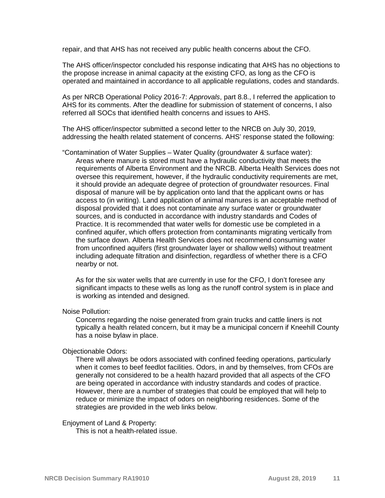repair, and that AHS has not received any public health concerns about the CFO.

The AHS officer/inspector concluded his response indicating that AHS has no objections to the propose increase in animal capacity at the existing CFO, as long as the CFO is operated and maintained in accordance to all applicable regulations, codes and standards.

As per NRCB Operational Policy 2016-7: *Approvals*, part 8.8., I referred the application to AHS for its comments. After the deadline for submission of statement of concerns, I also referred all SOCs that identified health concerns and issues to AHS.

The AHS officer/inspector submitted a second letter to the NRCB on July 30, 2019, addressing the health related statement of concerns. AHS' response stated the following:

"Contamination of Water Supplies – Water Quality (groundwater & surface water): Areas where manure is stored must have a hydraulic conductivity that meets the requirements of Alberta Environment and the NRCB. Alberta Health Services does not oversee this requirement, however, if the hydraulic conductivity requirements are met, it should provide an adequate degree of protection of groundwater resources. Final disposal of manure will be by application onto land that the applicant owns or has access to (in writing). Land application of animal manures is an acceptable method of disposal provided that it does not contaminate any surface water or groundwater sources, and is conducted in accordance with industry standards and Codes of Practice. It is recommended that water wells for domestic use be completed in a confined aquifer, which offers protection from contaminants migrating vertically from the surface down. Alberta Health Services does not recommend consuming water from unconfined aquifers (first groundwater layer or shallow wells) without treatment including adequate filtration and disinfection, regardless of whether there is a CFO nearby or not.

As for the six water wells that are currently in use for the CFO, I don't foresee any significant impacts to these wells as long as the runoff control system is in place and is working as intended and designed.

#### Noise Pollution:

Concerns regarding the noise generated from grain trucks and cattle liners is not typically a health related concern, but it may be a municipal concern if Kneehill County has a noise bylaw in place.

#### Objectionable Odors:

There will always be odors associated with confined feeding operations, particularly when it comes to beef feedlot facilities. Odors, in and by themselves, from CFOs are generally not considered to be a health hazard provided that all aspects of the CFO are being operated in accordance with industry standards and codes of practice. However, there are a number of strategies that could be employed that will help to reduce or minimize the impact of odors on neighboring residences. Some of the strategies are provided in the web links below.

#### Enjoyment of Land & Property:

This is not a health-related issue.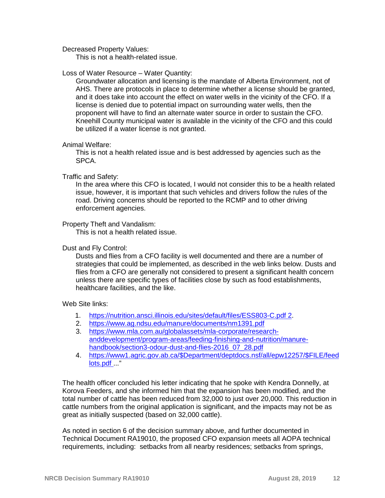Decreased Property Values:

This is not a health-related issue.

#### Loss of Water Resource – Water Quantity:

Groundwater allocation and licensing is the mandate of Alberta Environment, not of AHS. There are protocols in place to determine whether a license should be granted, and it does take into account the effect on water wells in the vicinity of the CFO. If a license is denied due to potential impact on surrounding water wells, then the proponent will have to find an alternate water source in order to sustain the CFO. Kneehill County municipal water is available in the vicinity of the CFO and this could be utilized if a water license is not granted.

#### Animal Welfare:

This is not a health related issue and is best addressed by agencies such as the SPCA.

#### Traffic and Safety:

In the area where this CFO is located, I would not consider this to be a health related issue, however, it is important that such vehicles and drivers follow the rules of the road. Driving concerns should be reported to the RCMP and to other driving enforcement agencies.

#### Property Theft and Vandalism:

This is not a health related issue.

#### Dust and Fly Control:

Dusts and flies from a CFO facility is well documented and there are a number of strategies that could be implemented, as described in the web links below. Dusts and flies from a CFO are generally not considered to present a significant health concern unless there are specific types of facilities close by such as food establishments, healthcare facilities, and the like.

Web Site links:

- 1. [https://nutrition.ansci.illinois.edu/sites/default/files/ESS803-C.pdf 2.](https://nutrition.ansci.illinois.edu/sites/default/files/ESS803-C.pdf%202)
- 2. <https://www.ag.ndsu.edu/manure/documents/nm1391.pdf>
- 3. [https://www.mla.com.au/globalassets/mla-corporate/research](https://www.mla.com.au/globalassets/mla-corporate/research-anddevelopment/program-areas/feeding-finishing-and-nutrition/manure-handbook/section3-odour-dust-and-flies-2016_07_28.pdf)[anddevelopment/program-areas/feeding-finishing-and-nutrition/manure](https://www.mla.com.au/globalassets/mla-corporate/research-anddevelopment/program-areas/feeding-finishing-and-nutrition/manure-handbook/section3-odour-dust-and-flies-2016_07_28.pdf)[handbook/section3-odour-dust-and-flies-2016\\_07\\_28.pdf](https://www.mla.com.au/globalassets/mla-corporate/research-anddevelopment/program-areas/feeding-finishing-and-nutrition/manure-handbook/section3-odour-dust-and-flies-2016_07_28.pdf)
- 4. [https://www1.agric.gov.ab.ca/\\$Department/deptdocs.nsf/all/epw12257/\\$FILE/feed](https://www1.agric.gov.ab.ca/$Department/deptdocs.nsf/all/epw12257/$FILE/feedlots.pdf) [lots.pdf](https://www1.agric.gov.ab.ca/$Department/deptdocs.nsf/all/epw12257/$FILE/feedlots.pdf) ..."

The health officer concluded his letter indicating that he spoke with Kendra Donnelly, at Korova Feeders, and she informed him that the expansion has been modified, and the total number of cattle has been reduced from 32,000 to just over 20,000. This reduction in cattle numbers from the original application is significant, and the impacts may not be as great as initially suspected (based on 32,000 cattle).

As noted in section 6 of the decision summary above, and further documented in Technical Document RA19010, the proposed CFO expansion meets all AOPA technical requirements, including: setbacks from all nearby residences; setbacks from springs,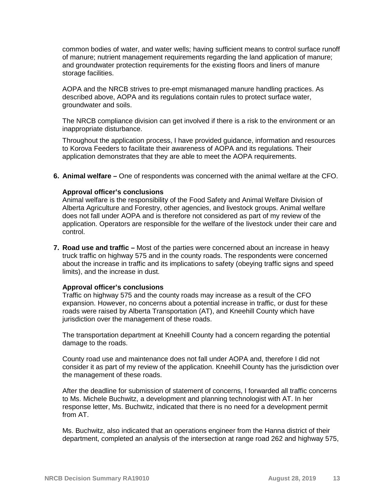common bodies of water, and water wells; having sufficient means to control surface runoff of manure; nutrient management requirements regarding the land application of manure; and groundwater protection requirements for the existing floors and liners of manure storage facilities.

AOPA and the NRCB strives to pre-empt mismanaged manure handling practices. As described above, AOPA and its regulations contain rules to protect surface water, groundwater and soils.

The NRCB compliance division can get involved if there is a risk to the environment or an inappropriate disturbance.

Throughout the application process, I have provided guidance, information and resources to Korova Feeders to facilitate their awareness of AOPA and its regulations. Their application demonstrates that they are able to meet the AOPA requirements.

**6. Animal welfare –** One of respondents was concerned with the animal welfare at the CFO.

### **Approval officer's conclusions**

Animal welfare is the responsibility of the Food Safety and Animal Welfare Division of Alberta Agriculture and Forestry, other agencies, and livestock groups. Animal welfare does not fall under AOPA and is therefore not considered as part of my review of the application. Operators are responsible for the welfare of the livestock under their care and control.

**7. Road use and traffic –** Most of the parties were concerned about an increase in heavy truck traffic on highway 575 and in the county roads. The respondents were concerned about the increase in traffic and its implications to safety (obeying traffic signs and speed limits), and the increase in dust.

#### **Approval officer's conclusions**

Traffic on highway 575 and the county roads may increase as a result of the CFO expansion. However, no concerns about a potential increase in traffic, or dust for these roads were raised by Alberta Transportation (AT), and Kneehill County which have jurisdiction over the management of these roads.

The transportation department at Kneehill County had a concern regarding the potential damage to the roads.

County road use and maintenance does not fall under AOPA and, therefore I did not consider it as part of my review of the application. Kneehill County has the jurisdiction over the management of these roads.

After the deadline for submission of statement of concerns, I forwarded all traffic concerns to Ms. Michele Buchwitz, a development and planning technologist with AT. In her response letter, Ms. Buchwitz, indicated that there is no need for a development permit from AT.

Ms. Buchwitz, also indicated that an operations engineer from the Hanna district of their department, completed an analysis of the intersection at range road 262 and highway 575,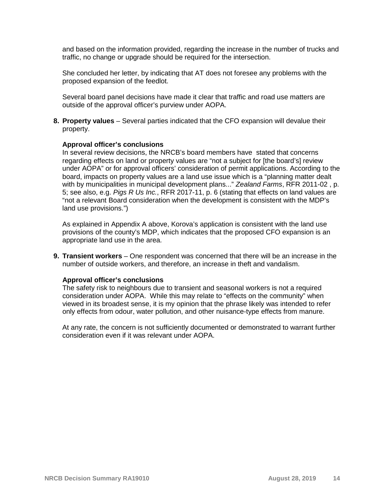and based on the information provided, regarding the increase in the number of trucks and traffic, no change or upgrade should be required for the intersection.

She concluded her letter, by indicating that AT does not foresee any problems with the proposed expansion of the feedlot.

Several board panel decisions have made it clear that traffic and road use matters are outside of the approval officer's purview under AOPA.

**8. Property values** – Several parties indicated that the CFO expansion will devalue their property.

#### **Approval officer's conclusions**

In several review decisions, the NRCB's board members have stated that concerns regarding effects on land or property values are "not a subject for [the board's] review under AOPA" or for approval officers' consideration of permit applications. According to the board, impacts on property values are a land use issue which is a "planning matter dealt with by municipalities in municipal development plans..." *Zealand Farms*, RFR 2011-02 , p. 5; see also, e.g. *Pigs R Us Inc.*, RFR 2017-11, p. 6 (stating that effects on land values are "not a relevant Board consideration when the development is consistent with the MDP's land use provisions.")

As explained in Appendix A above, Korova's application is consistent with the land use provisions of the county's MDP, which indicates that the proposed CFO expansion is an appropriate land use in the area.

**9. Transient workers** – One respondent was concerned that there will be an increase in the number of outside workers, and therefore, an increase in theft and vandalism.

#### **Approval officer's conclusions**

The safety risk to neighbours due to transient and seasonal workers is not a required consideration under AOPA. While this may relate to "effects on the community" when viewed in its broadest sense, it is my opinion that the phrase likely was intended to refer only effects from odour, water pollution, and other nuisance-type effects from manure.

At any rate, the concern is not sufficiently documented or demonstrated to warrant further consideration even if it was relevant under AOPA.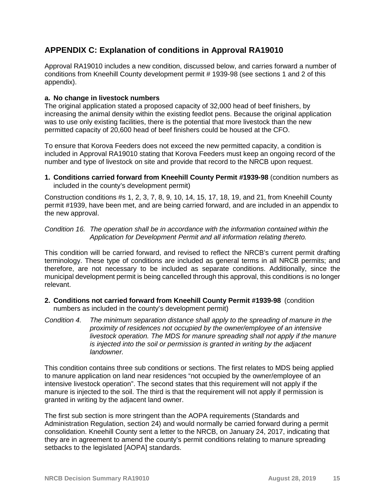# **APPENDIX C: Explanation of conditions in Approval RA19010**

Approval RA19010 includes a new condition, discussed below, and carries forward a number of conditions from Kneehill County development permit # 1939-98 (see sections 1 and 2 of this appendix).

## **a. No change in livestock numbers**

The original application stated a proposed capacity of 32,000 head of beef finishers, by increasing the animal density within the existing feedlot pens. Because the original application was to use only existing facilities, there is the potential that more livestock than the new permitted capacity of 20,600 head of beef finishers could be housed at the CFO.

To ensure that Korova Feeders does not exceed the new permitted capacity, a condition is included in Approval RA19010 stating that Korova Feeders must keep an ongoing record of the number and type of livestock on site and provide that record to the NRCB upon request.

**1. Conditions carried forward from Kneehill County Permit #1939-98** (condition numbers as included in the county's development permit)

Construction conditions #s 1, 2, 3, 7, 8, 9, 10, 14, 15, 17, 18, 19, and 21, from Kneehill County permit #1939, have been met, and are being carried forward, and are included in an appendix to the new approval.

## *Condition 16. The operation shall be in accordance with the information contained within the Application for Development Permit and all information relating thereto.*

This condition will be carried forward, and revised to reflect the NRCB's current permit drafting terminology. These type of conditions are included as general terms in all NRCB permits; and therefore, are not necessary to be included as separate conditions. Additionally, since the municipal development permit is being cancelled through this approval, this conditions is no longer relevant.

- **2. Conditions not carried forward from Kneehill County Permit #1939-98** (condition numbers as included in the county's development permit)
- *Condition 4. The minimum separation distance shall apply to the spreading of manure in the proximity of residences not occupied by the owner/employee of an intensive livestock operation. The MDS for manure spreading shall not apply if the manure is injected into the soil or permission is granted in writing by the adjacent landowner.*

This condition contains three sub conditions or sections. The first relates to MDS being applied to manure application on land near residences "not occupied by the owner/employee of an intensive livestock operation". The second states that this requirement will not apply if the manure is injected to the soil. The third is that the requirement will not apply if permission is granted in writing by the adjacent land owner.

The first sub section is more stringent than the AOPA requirements (Standards and Administration Regulation, section 24) and would normally be carried forward during a permit consolidation. Kneehill County sent a letter to the NRCB, on January 24, 2017, indicating that they are in agreement to amend the county's permit conditions relating to manure spreading setbacks to the legislated [AOPA] standards.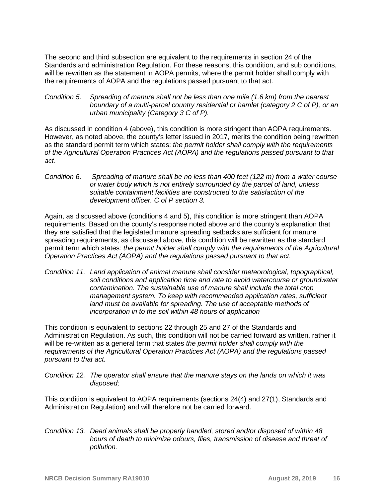The second and third subsection are equivalent to the requirements in section 24 of the Standards and administration Regulation. For these reasons, this condition, and sub conditions, will be rewritten as the statement in AOPA permits, where the permit holder shall comply with the requirements of AOPA and the regulations passed pursuant to that act.

*Condition 5. Spreading of manure shall not be less than one mile (1.6 km) from the nearest boundary of a multi-parcel country residential or hamlet (category 2 C of P), or an urban municipality (Category 3 C of P).*

As discussed in condition 4 (above), this condition is more stringent than AOPA requirements. However, as noted above, the county's letter issued in 2017, merits the condition being rewritten as the standard permit term which states: *the permit holder shall comply with the requirements of the Agricultural Operation Practices Act (AOPA) and the regulations passed pursuant to that act*.

*Condition 6. Spreading of manure shall be no less than 400 feet (122 m) from a water course or water body which is not entirely surrounded by the parcel of land, unless suitable containment facilities are constructed to the satisfaction of the development officer. C of P section 3.*

Again, as discussed above (conditions 4 and 5), this condition is more stringent than AOPA requirements. Based on the county's response noted above and the county's explanation that they are satisfied that the legislated manure spreading setbacks are sufficient for manure spreading requirements, as discussed above, this condition will be rewritten as the standard permit term which states: *the permit holder shall comply with the requirements of the Agricultural Operation Practices Act (AOPA) and the regulations passed pursuant to that act.*

*Condition 11. Land application of animal manure shall consider meteorological, topographical, soil conditions and application time and rate to avoid watercourse or groundwater contamination. The sustainable use of manure shall include the total crop management system. To keep with recommended application rates, sufficient land must be available for spreading. The use of acceptable methods of incorporation in to the soil within 48 hours of application*

This condition is equivalent to sections 22 through 25 and 27 of the Standards and Administration Regulation. As such, this condition will not be carried forward as written, rather it will be re-written as a general term that states *the permit holder shall comply with the requirements of the Agricultural Operation Practices Act (AOPA) and the regulations passed pursuant to that act.* 

*Condition 12. The operator shall ensure that the manure stays on the lands on which it was disposed;* 

This condition is equivalent to AOPA requirements (sections 24(4) and 27(1), Standards and Administration Regulation) and will therefore not be carried forward.

*Condition 13. Dead animals shall be properly handled, stored and/or disposed of within 48 hours of death to minimize odours, flies, transmission of disease and threat of pollution.*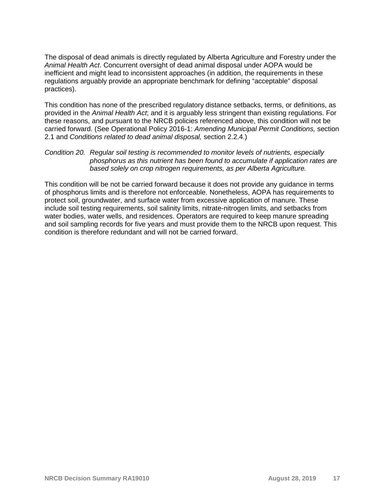The disposal of dead animals is directly regulated by Alberta Agriculture and Forestry under the *Animal Health Act*. Concurrent oversight of dead animal disposal under AOPA would be inefficient and might lead to inconsistent approaches (in addition, the requirements in these regulations arguably provide an appropriate benchmark for defining "acceptable" disposal practices).

This condition has none of the prescribed regulatory distance setbacks, terms, or definitions, as provided in the *Animal Health Act*; and it is arguably less stringent than existing regulations. For these reasons, and pursuant to the NRCB policies referenced above, this condition will not be carried forward. (See Operational Policy 2016-1: *Amending Municipal Permit Conditions,* section 2.1 and *Conditions related to dead animal disposal,* section 2.2.4.)

## *Condition 20. Regular soil testing is recommended to monitor levels of nutrients, especially phosphorus as this nutrient has been found to accumulate if application rates are based solely on crop nitrogen requirements, as per Alberta Agriculture.*

This condition will be not be carried forward because it does not provide any guidance in terms of phosphorus limits and is therefore not enforceable. Nonetheless, AOPA has requirements to protect soil, groundwater, and surface water from excessive application of manure. These include soil testing requirements, soil salinity limits, nitrate-nitrogen limits, and setbacks from water bodies, water wells, and residences. Operators are required to keep manure spreading and soil sampling records for five years and must provide them to the NRCB upon request. This condition is therefore redundant and will not be carried forward.